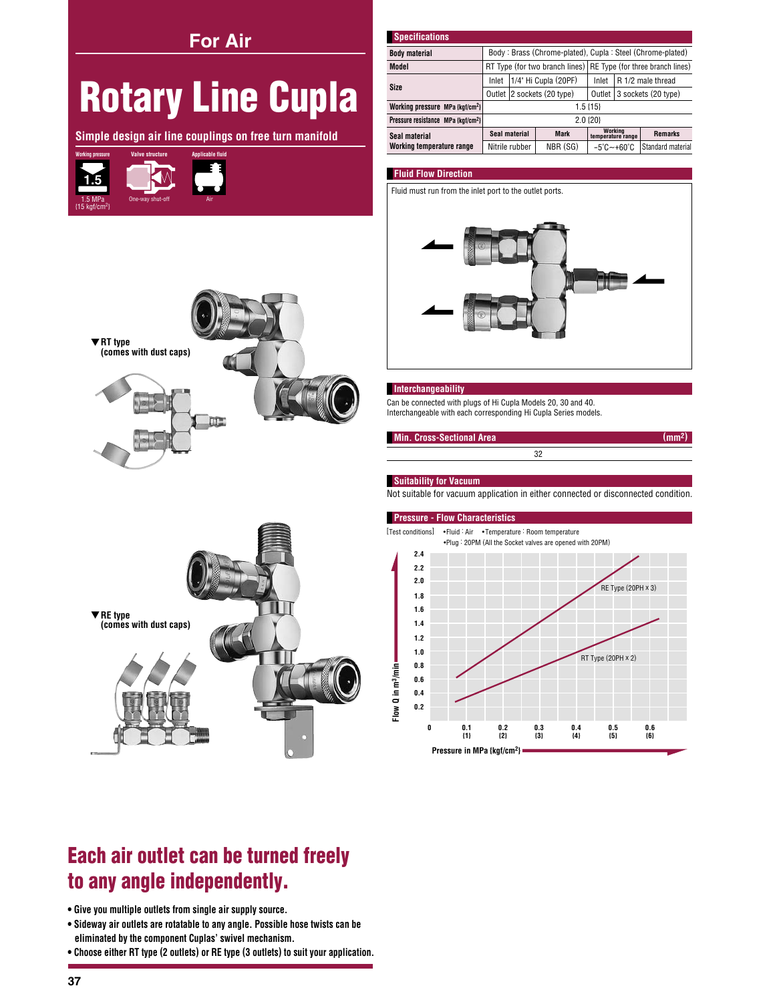**For Air** 

# **Rotary Line Cupla**

Simple design air line couplings on free turn manifold





| <b>Specifications</b>                          |                                                                 |                      |             |                                 |                     |                   |
|------------------------------------------------|-----------------------------------------------------------------|----------------------|-------------|---------------------------------|---------------------|-------------------|
| <b>Body material</b>                           | Body: Brass (Chrome-plated), Cupla: Steel (Chrome-plated)       |                      |             |                                 |                     |                   |
| Model                                          | RT Type (for two branch lines) RE Type (for three branch lines) |                      |             |                                 |                     |                   |
| Size                                           | Inlet                                                           | 1/4" Hi Cupla (20PF) |             | Inlet                           | R 1/2 male thread   |                   |
|                                                | Outlet 2 sockets (20 type)                                      |                      |             | Outlet                          | 3 sockets (20 type) |                   |
| Working pressure MPa {kgf/cm <sup>2</sup> }    | $1.5$ {15}                                                      |                      |             |                                 |                     |                   |
| Pressure resistance MPa {kqf/cm <sup>2</sup> } | 2.0 {20}                                                        |                      |             |                                 |                     |                   |
| Seal material<br>Working temperature range     | Seal material                                                   |                      | <b>Mark</b> | Working<br>temperature range    |                     | <b>Remarks</b>    |
|                                                |                                                                 | Nitrile rubber       | NBR (SG)    | $-5^{\circ}$ C $-+60^{\circ}$ C |                     | Standard material |

# **Fluid Flow Direction**

Fluid must run from the inlet port to the outlet ports.



### Interchangeability

Can be connected with plugs of Hi Cupla Models 20, 30 and 40. Interchangeable with each corresponding Hi Cupla Series models.

| Min. Cross-Sectional Area |  |
|---------------------------|--|
|                           |  |
|                           |  |

# **Suitability for Vacuum**

Flow Q in m<sup>3</sup>/min

Not suitable for vacuum application in either connected or disconnected condition.



#### **Pressure - Flow Characteristics** [Test conditions] •Fluid: Air •Temperature: Room temperature

.Plug: 20PM (All the Socket valves are opened with 20PM)  $2.4$  $2.2$  $2.0$ RE Type (20PH × 3) 18  $1.6$  $1.4$  $1.2$  $1.0$ 



## Pressure in MPa {kgf/cm<sup>2</sup>}

# Each air outlet can be turned freely to any angle independently.

- . Give you multiple outlets from single air supply source.
- . Sideway air outlets are rotatable to any angle. Possible hose twists can be eliminated by the component Cuplas' swivel mechanism.
- Choose either RT type (2 outlets) or RE type (3 outlets) to suit your application.